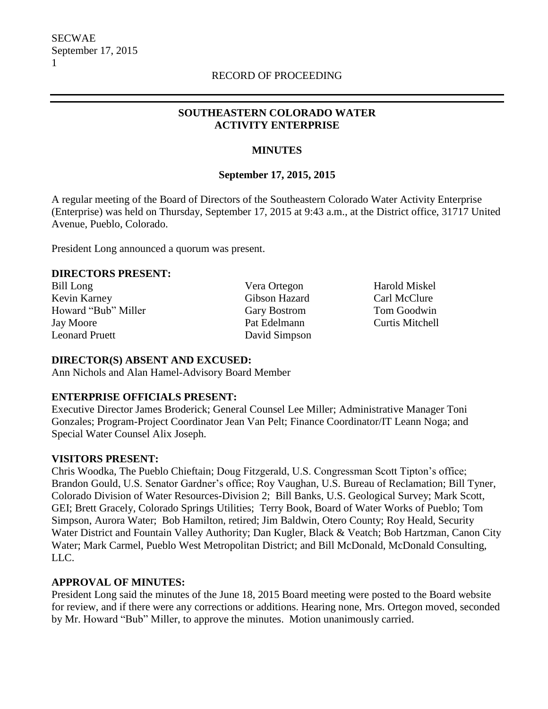## **SOUTHEASTERN COLORADO WATER ACTIVITY ENTERPRISE**

# **MINUTES**

# **September 17, 2015, 2015**

A regular meeting of the Board of Directors of the Southeastern Colorado Water Activity Enterprise (Enterprise) was held on Thursday, September 17, 2015 at 9:43 a.m., at the District office, 31717 United Avenue, Pueblo, Colorado.

President Long announced a quorum was present.

### **DIRECTORS PRESENT:**

Kevin Karney Gibson Hazard Carl McClure Howard "Bub" Miller Gary Bostrom Tom Goodwin Jay Moore Pat Edelmann Curtis Mitchell Leonard Pruett David Simpson

Bill Long Vera Ortegon Harold Miskel

### **DIRECTOR(S) ABSENT AND EXCUSED:**

Ann Nichols and Alan Hamel-Advisory Board Member

## **ENTERPRISE OFFICIALS PRESENT:**

Executive Director James Broderick; General Counsel Lee Miller; Administrative Manager Toni Gonzales; Program-Project Coordinator Jean Van Pelt; Finance Coordinator/IT Leann Noga; and Special Water Counsel Alix Joseph.

## **VISITORS PRESENT:**

Chris Woodka, The Pueblo Chieftain; Doug Fitzgerald, U.S. Congressman Scott Tipton's office; Brandon Gould, U.S. Senator Gardner's office; Roy Vaughan, U.S. Bureau of Reclamation; Bill Tyner, Colorado Division of Water Resources-Division 2; Bill Banks, U.S. Geological Survey; Mark Scott, GEI; Brett Gracely, Colorado Springs Utilities; Terry Book, Board of Water Works of Pueblo; Tom Simpson, Aurora Water; Bob Hamilton, retired; Jim Baldwin, Otero County; Roy Heald, Security Water District and Fountain Valley Authority; Dan Kugler, Black & Veatch; Bob Hartzman, Canon City Water; Mark Carmel, Pueblo West Metropolitan District; and Bill McDonald, McDonald Consulting, LLC.

## **APPROVAL OF MINUTES:**

President Long said the minutes of the June 18, 2015 Board meeting were posted to the Board website for review, and if there were any corrections or additions. Hearing none, Mrs. Ortegon moved, seconded by Mr. Howard "Bub" Miller, to approve the minutes. Motion unanimously carried.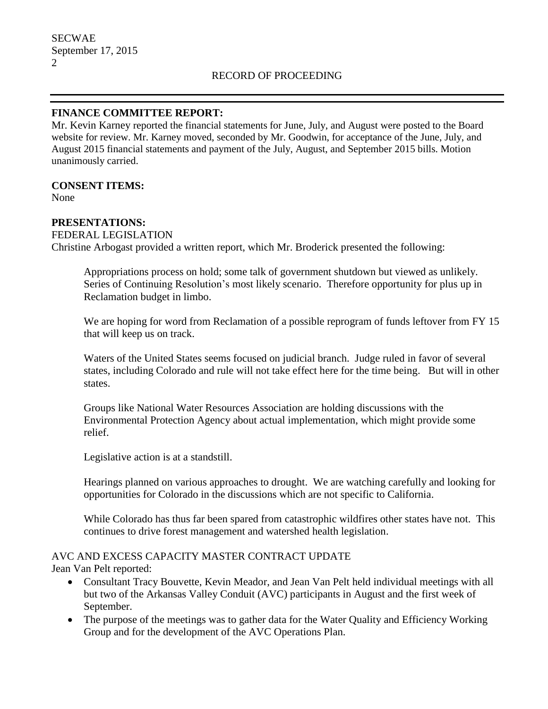### RECORD OF PROCEEDING

### **FINANCE COMMITTEE REPORT:**

Mr. Kevin Karney reported the financial statements for June, July, and August were posted to the Board website for review. Mr. Karney moved, seconded by Mr. Goodwin, for acceptance of the June, July, and August 2015 financial statements and payment of the July, August, and September 2015 bills. Motion unanimously carried.

#### **CONSENT ITEMS:**

None

#### **PRESENTATIONS:**

#### FEDERAL LEGISLATION

Christine Arbogast provided a written report, which Mr. Broderick presented the following:

Appropriations process on hold; some talk of government shutdown but viewed as unlikely. Series of Continuing Resolution's most likely scenario. Therefore opportunity for plus up in Reclamation budget in limbo.

We are hoping for word from Reclamation of a possible reprogram of funds leftover from FY 15 that will keep us on track.

Waters of the United States seems focused on judicial branch. Judge ruled in favor of several states, including Colorado and rule will not take effect here for the time being. But will in other states.

Groups like National Water Resources Association are holding discussions with the Environmental Protection Agency about actual implementation, which might provide some relief.

Legislative action is at a standstill.

Hearings planned on various approaches to drought. We are watching carefully and looking for opportunities for Colorado in the discussions which are not specific to California.

While Colorado has thus far been spared from catastrophic wildfires other states have not. This continues to drive forest management and watershed health legislation.

## AVC AND EXCESS CAPACITY MASTER CONTRACT UPDATE

Jean Van Pelt reported:

- Consultant Tracy Bouvette, Kevin Meador, and Jean Van Pelt held individual meetings with all but two of the Arkansas Valley Conduit (AVC) participants in August and the first week of September.
- The purpose of the meetings was to gather data for the Water Quality and Efficiency Working Group and for the development of the AVC Operations Plan.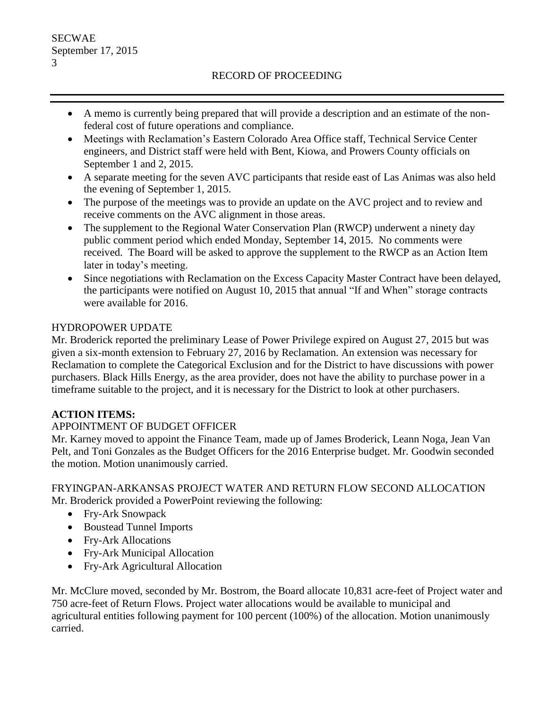- A memo is currently being prepared that will provide a description and an estimate of the nonfederal cost of future operations and compliance.
- Meetings with Reclamation's Eastern Colorado Area Office staff, Technical Service Center engineers, and District staff were held with Bent, Kiowa, and Prowers County officials on September 1 and 2, 2015.
- A separate meeting for the seven AVC participants that reside east of Las Animas was also held the evening of September 1, 2015.
- The purpose of the meetings was to provide an update on the AVC project and to review and receive comments on the AVC alignment in those areas.
- The supplement to the Regional Water Conservation Plan (RWCP) underwent a ninety day public comment period which ended Monday, September 14, 2015. No comments were received. The Board will be asked to approve the supplement to the RWCP as an Action Item later in today's meeting.
- Since negotiations with Reclamation on the Excess Capacity Master Contract have been delayed, the participants were notified on August 10, 2015 that annual "If and When" storage contracts were available for 2016.

## HYDROPOWER UPDATE

Mr. Broderick reported the preliminary Lease of Power Privilege expired on August 27, 2015 but was given a six-month extension to February 27, 2016 by Reclamation. An extension was necessary for Reclamation to complete the Categorical Exclusion and for the District to have discussions with power purchasers. Black Hills Energy, as the area provider, does not have the ability to purchase power in a timeframe suitable to the project, and it is necessary for the District to look at other purchasers.

# **ACTION ITEMS:**

# APPOINTMENT OF BUDGET OFFICER

Mr. Karney moved to appoint the Finance Team, made up of James Broderick, Leann Noga, Jean Van Pelt, and Toni Gonzales as the Budget Officers for the 2016 Enterprise budget. Mr. Goodwin seconded the motion. Motion unanimously carried.

FRYINGPAN-ARKANSAS PROJECT WATER AND RETURN FLOW SECOND ALLOCATION Mr. Broderick provided a PowerPoint reviewing the following:

- Fry-Ark Snowpack
- Boustead Tunnel Imports
- Fry-Ark Allocations
- Fry-Ark Municipal Allocation
- Fry-Ark Agricultural Allocation

Mr. McClure moved, seconded by Mr. Bostrom, the Board allocate 10,831 acre-feet of Project water and 750 acre-feet of Return Flows. Project water allocations would be available to municipal and agricultural entities following payment for 100 percent (100%) of the allocation. Motion unanimously carried.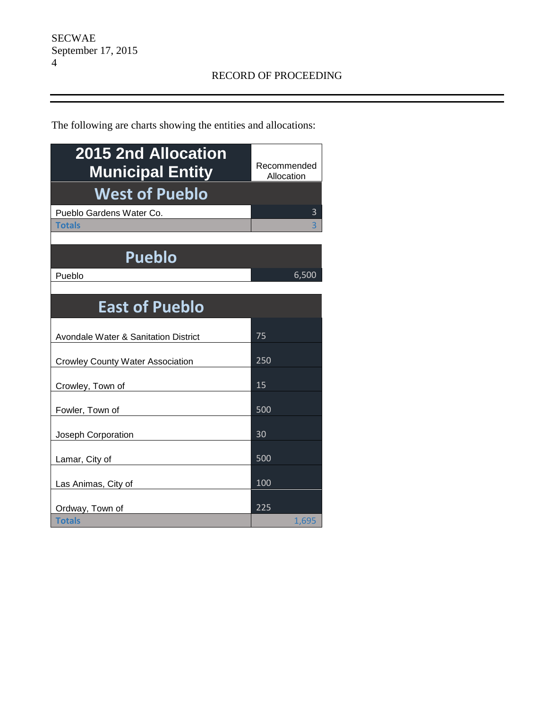The following are charts showing the entities and allocations:

| <b>2015 2nd Allocation</b><br><b>Municipal Entity</b> | Recommended<br>Allocation |
|-------------------------------------------------------|---------------------------|
| <b>West of Pueblo</b>                                 |                           |
| Pueblo Gardens Water Co.                              | 3                         |
| <b>Totals</b>                                         | 3                         |
| <b>Pueblo</b>                                         |                           |
| Pueblo                                                | 6,500                     |
| <b>East of Pueblo</b>                                 |                           |
| <b>Avondale Water &amp; Sanitation District</b>       | 75                        |
| <b>Crowley County Water Association</b>               | 250                       |
| Crowley, Town of                                      | 15                        |
| Fowler, Town of                                       | 500                       |
| Joseph Corporation                                    | 30                        |
| Lamar, City of                                        | 500                       |
| Las Animas, City of                                   | 100                       |
| Ordway, Town of                                       | 225                       |
| <b>Totals</b>                                         | 1,695                     |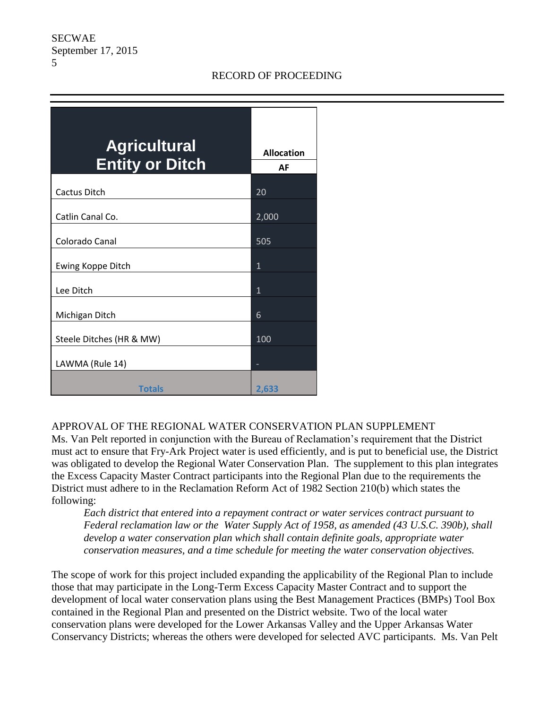## RECORD OF PROCEEDING

| <b>Agricultural</b><br><b>Entity or Ditch</b> | <b>Allocation</b> |
|-----------------------------------------------|-------------------|
|                                               | AF                |
| Cactus Ditch                                  | 20                |
| Catlin Canal Co.                              | 2,000             |
| Colorado Canal                                | 505               |
| Ewing Koppe Ditch                             | $\mathbf{1}$      |
| Lee Ditch                                     | $\mathbf{1}$      |
| Michigan Ditch                                | 6                 |
| Steele Ditches (HR & MW)                      | 100               |
| LAWMA (Rule 14)                               |                   |
| <b>Totals</b>                                 | 2,633             |

## APPROVAL OF THE REGIONAL WATER CONSERVATION PLAN SUPPLEMENT

Ms. Van Pelt reported in conjunction with the Bureau of Reclamation's requirement that the District must act to ensure that Fry-Ark Project water is used efficiently, and is put to beneficial use, the District was obligated to develop the Regional Water Conservation Plan. The supplement to this plan integrates the Excess Capacity Master Contract participants into the Regional Plan due to the requirements the District must adhere to in the Reclamation Reform Act of 1982 Section 210(b) which states the following:

*Each district that entered into a repayment contract or water services contract pursuant to Federal reclamation law or the Water Supply Act of 1958, as amended (43 U.S.C. 390b), shall develop a water conservation plan which shall contain definite goals, appropriate water conservation measures, and a time schedule for meeting the water conservation objectives.* 

The scope of work for this project included expanding the applicability of the Regional Plan to include those that may participate in the Long-Term Excess Capacity Master Contract and to support the development of local water conservation plans using the Best Management Practices (BMPs) Tool Box contained in the Regional Plan and presented on the District website. Two of the local water conservation plans were developed for the Lower Arkansas Valley and the Upper Arkansas Water Conservancy Districts; whereas the others were developed for selected AVC participants. Ms. Van Pelt